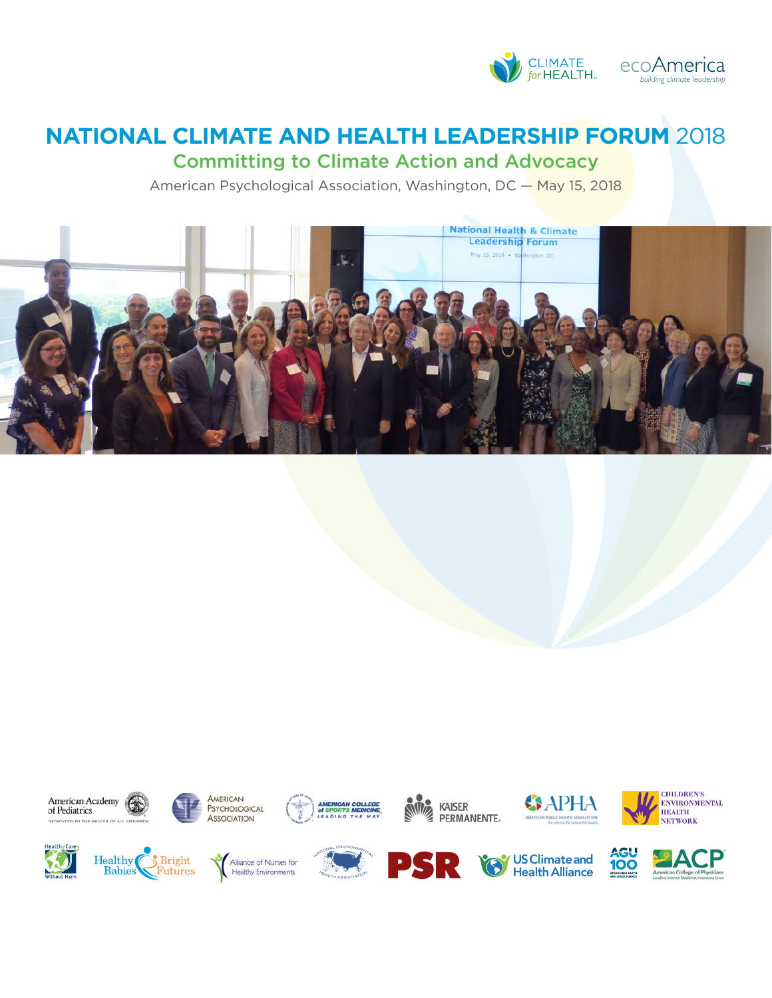

# **NATIONAL CLIMATE AND HEALTH LEADERSHIP FORUM** 2018

Committing to Climate Action and Advocacy

American Psychological Association, Washington, DC - May 15, 2018



























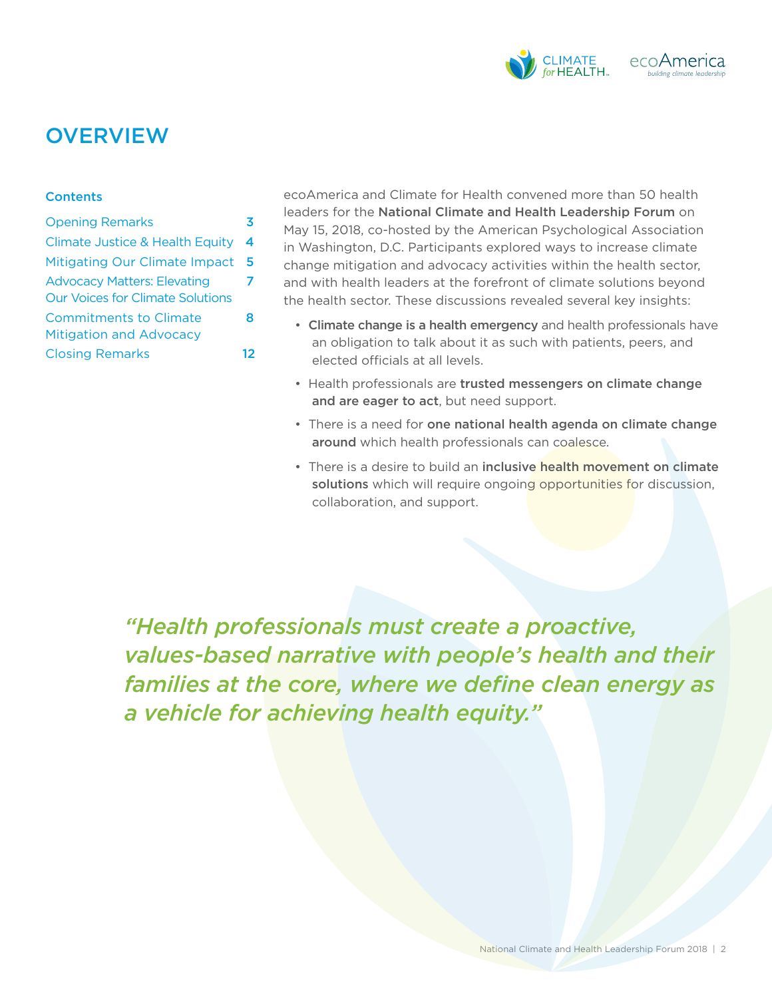

## **OVERVIEW**

#### **Contents**

Opening Remarks Climate Justice & Health Equity Mitigating Our Climate Impact 5 3 4 Advocacy Matters: Elevating 7 Our Voices for Climate Solutions Commitments to Climate 8 Mitigation and Advocacy Closing Remarks 12 ecoAmerica and Climate for Health convened more than 50 health leaders for the National Climate and Health Leadership Forum on May 15, 2018, co-hosted by the American Psychological Association in Washington, D.C. Participants explored ways to increase climate change mitigation and advocacy activities within the health sector, and with health leaders at the forefront of climate solutions beyond the health sector. These discussions revealed several key insights:

- Climate change is a health emergency and health professionals have an obligation to talk about it as such with patients, peers, and elected officials at all levels.
- Health professionals are trusted messengers on climate change and are eager to act, but need support.
- There is a need for one national health agenda on climate change around which health professionals can coalesce.
- There is a desire to build an inclusive health movement on climate solutions which will require ongoing opportunities for discussion, collaboration, and support.

*"Health professionals must create a proactive, values-based narrative with people's health and their families at the core, where we define clean energy as a vehicle for achieving health equity."*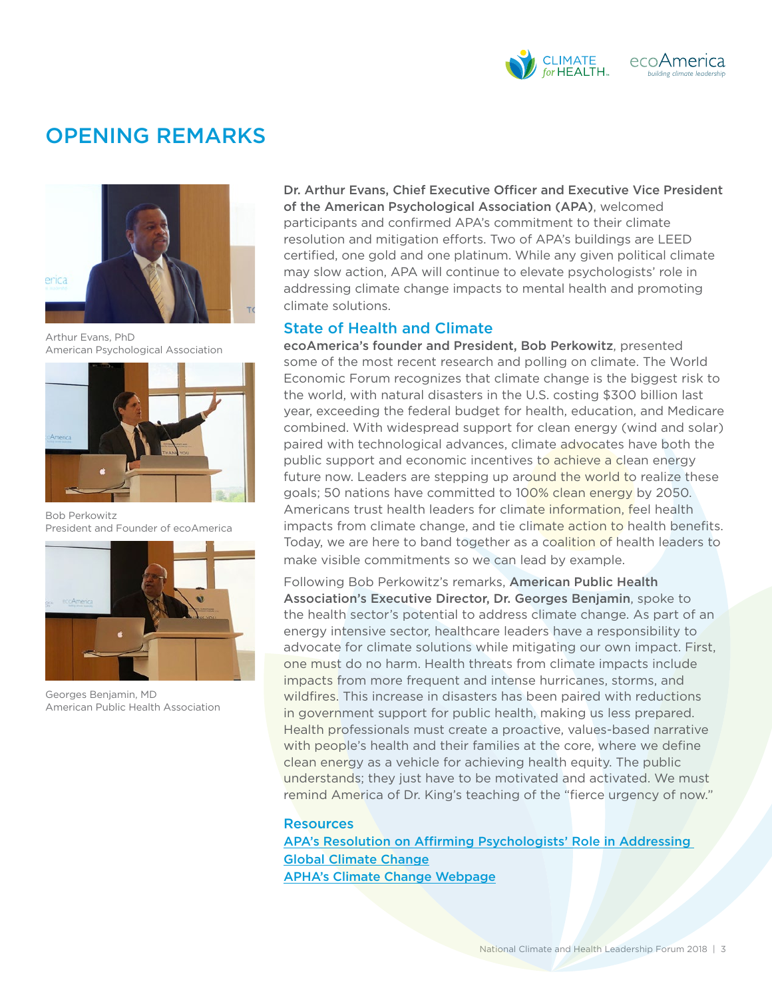

## OPENING REMARKS



Arthur Evans, PhD American Psychological Association



Bob Perkowitz President and Founder of ecoAmerica



Georges Benjamin, MD American Public Health Association

Dr. Arthur Evans, Chief Executive Officer and Executive Vice President of the American Psychological Association (APA), welcomed participants and confirmed APA's commitment to their climate resolution and mitigation efforts. Two of APA's buildings are LEED certified, one gold and one platinum. While any given political climate may slow action, APA will continue to elevate psychologists' role in addressing climate change impacts to mental health and promoting climate solutions.

### State of Health and Climate

ecoAmerica's founder and President, Bob Perkowitz, presented some of the most recent research and polling on climate. The World Economic Forum recognizes that climate change is the biggest risk to the world, with natural disasters in the U.S. costing \$300 billion last year, exceeding the federal budget for health, education, and Medicare combined. With widespread support for clean energy (wind and solar) paired with technological advances, climate advocates have both the public support and economic incentives to achieve a clean energy future now. Leaders are stepping up around the world to realize these goals; 50 nations have committed to 100% clean energy by 2050. Americans trust health leaders for climate information, feel health impacts from climate change, and tie climate action to health benefits. Today, we are here to band together as a coalition of health leaders to make visible commitments so we can lead by example.

Following Bob Perkowitz's remarks, American Public Health Association's Executive Director, Dr. Georges Benjamin, spoke to the health sector's potential to address climate change. As part of an energy intensive sector, healthcare leaders have a responsibility to advocate for climate solutions while mitigating our own impact. First, one must do no harm. Health threats from climate impacts include impacts from more frequent and intense hurricanes, storms, and wildfires. This increase in disasters has been paired with reductions in government support for public health, making us less prepared. Health professionals must create a proactive, values-based narrative with people's health and their families at the core, where we define clean energy as a vehicle for achieving health equity. The public understands; they just have to be motivated and activated. We must remind America of Dr. King's teaching of the "fierce urgency of now."

#### **Resources**

[APA's Resolution on Affirming Psychologists' Role in Addressing](http://www.apa.org/about/policy/climate-change.aspx)  [Global Climate Change](http://www.apa.org/about/policy/climate-change.aspx) [APHA's Climate Change Webpage](https://www.apha.org/topics-and-issues/climate-change)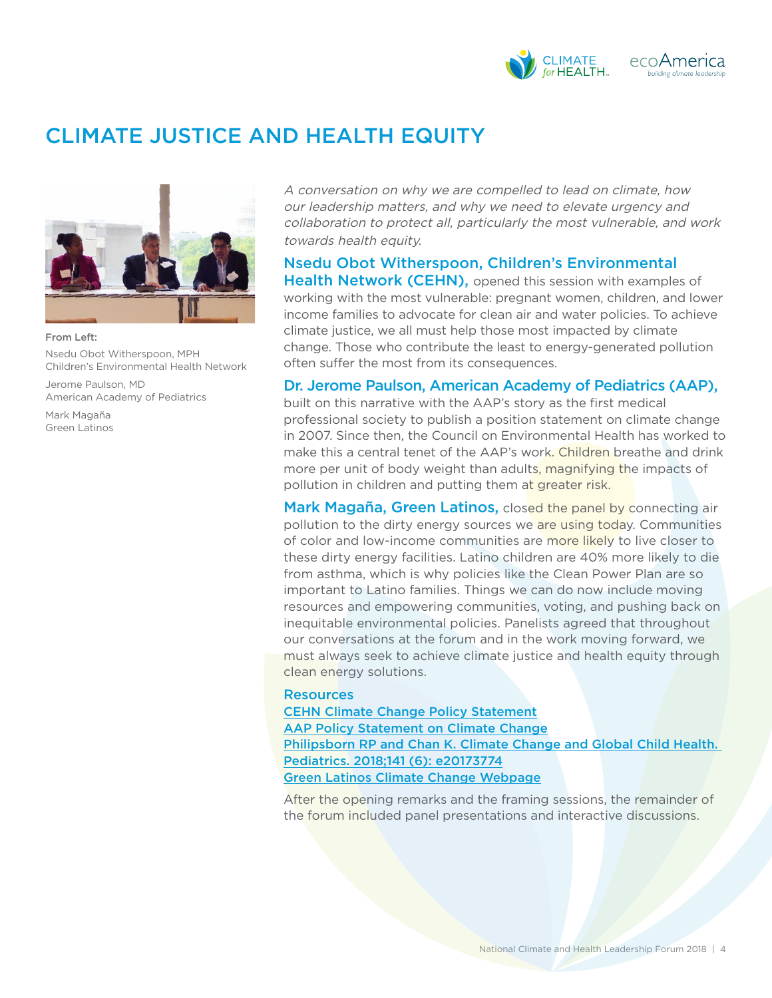

# CLIMATE JUSTICE AND HEALTH EQUITY



#### From Left: Nsedu Obot Witherspoon, MPH Children's Environmental Health Network

Jerome Paulson, MD American Academy of Pediatrics

Mark Magaña Green Latinos A conversation on why we are compelled to lead on climate, how our leadership matters, and why we need to elevate urgency and collaboration to protect all, particularly the most vulnerable, and work towards health equity.

### Nsedu Obot Witherspoon, Children's Environmental **Health Network (CEHN),** opened this session with examples of

working with the most vulnerable: pregnant women, children, and lower income families to advocate for clean air and water policies. To achieve climate justice, we all must help those most impacted by climate change. Those who contribute the least to energy-generated pollution often suffer the most from its consequences.

### Dr. Jerome Paulson, American Academy of Pediatrics (AAP),

built on this narrative with the AAP's story as the first medical professional society to publish a position statement on climate change in 2007. Since then, the Council on Environmental Health has worked to make this a central tenet of the AAP's work. Children breathe and drink more per unit of body weight than adults, magnifying the impacts of pollution in children and putting them at greater risk.

Mark Magaña, Green Latinos, closed the panel by connecting air pollution to the dirty energy sources we are using today. Communities of color and low-income communities are more likely to live closer to these dirty energy facilities. Latino children are 40% more likely to die from asthma, which is why policies like the Clean Power Plan are so important to Latino families. Things we can do now include moving resources and empowering communities, voting, and pushing back on inequitable environmental policies. Panelists agreed that throughout our conversations at the forum and in the work moving forward, we must always seek to achieve climate justice and health equity through clean energy solutions.

#### **Resources**

[CEHN Climate Change Policy Statement](https://cehn.org/our-work/climate-change/cehns-climate-change-policy-statement/) [AAP Policy Statement on Climate Change](http://pediatrics.aappublications.org/content/136/5/992) [Philipsborn RP and Chan K. Climate Change and Global Child Health.](http://pediatrics.aappublications.org/content/early/2018/05/04/peds.2017-3774?sso=1&sso_redirect_count=3&nfstatus=401&nftoken=00000000-0000-0000-0000-000000000000&nfstatusdescription=ERROR%3A%20No%20local%20token&nfstatus=401&nftoken=00000000-0000-0000-0000-000000000000&nfstatusdescription=ERROR%3a+No+local+token)  [Pediatrics. 2018;141 \(6\): e20173774](http://pediatrics.aappublications.org/content/early/2018/05/04/peds.2017-3774?sso=1&sso_redirect_count=3&nfstatus=401&nftoken=00000000-0000-0000-0000-000000000000&nfstatusdescription=ERROR%3A%20No%20local%20token&nfstatus=401&nftoken=00000000-0000-0000-0000-000000000000&nfstatusdescription=ERROR%3a+No+local+token) [Green Latinos Climate Change Webpage](http://www.greenlatinos.org/climatechange)

After the opening remarks and the framing sessions, the remainder of the forum included panel presentations and interactive discussions.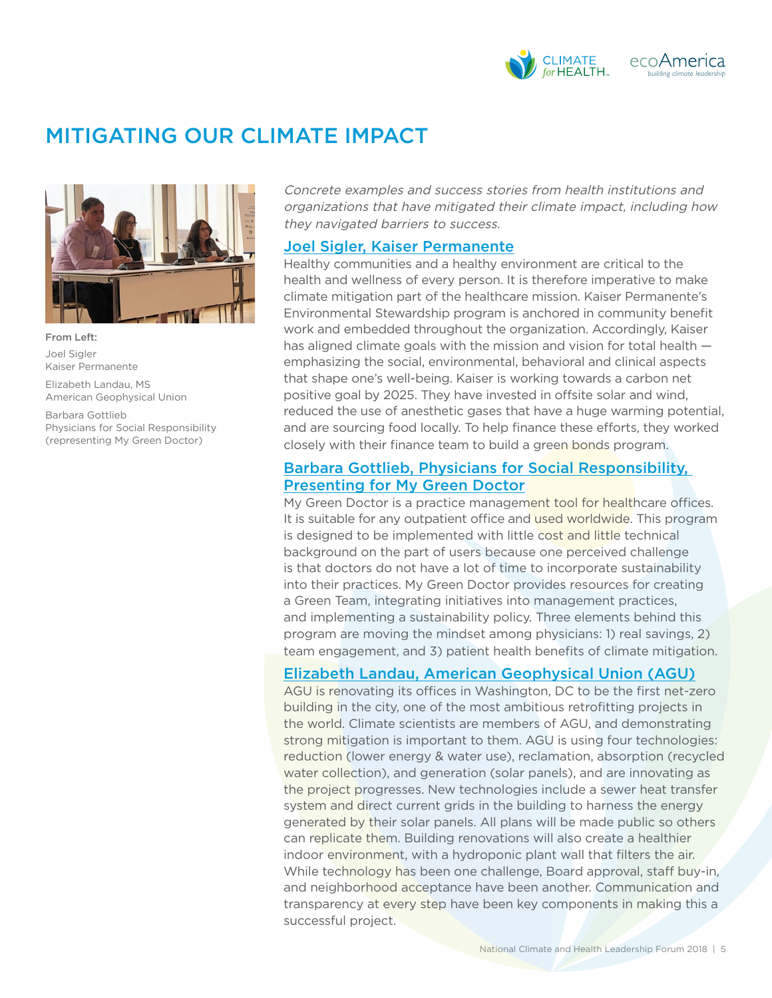

## MITIGATING OUR CLIMATE IMPACT



From Left: Joel Sigler Kaiser Permanente

Elizabeth Landau, MS American Geophysical Union

Barbara Gottlieb Physicians for Social Responsibility (representing My Green Doctor)

Concrete examples and success stories from health institutions and organizations that have mitigated their climate impact, including how they navigated barriers to success.

#### [Joel Sigler, Kaiser Permanente](http://ecoamerica.org/wp-content/uploads/2018/06/sigler-health-forum-2018.pdf)

Healthy communities and a healthy environment are critical to the health and wellness of every person. It is therefore imperative to make climate mitigation part of the healthcare mission. Kaiser Permanente's Environmental Stewardship program is anchored in community benefit work and embedded throughout the organization. Accordingly, Kaiser has aligned climate goals with the mission and vision for total health emphasizing the social, environmental, behavioral and clinical aspects that shape one's well-being. Kaiser is working towards a carbon net positive goal by 2025. They have invested in offsite solar and wind, reduced the use of anesthetic gases that have a huge warming potential, and are sourcing food locally. To help finance these efforts, they worked closely with their finance team to build a green bonds program.

### [Barbara Gottlieb, Physicians for Social Responsibility,](http://ecoamerica.org/wp-content/uploads/2018/06/gottlieb-health-forum-2018.pdf)  [Presenting for My Green Doctor](http://ecoamerica.org/wp-content/uploads/2018/06/gottlieb-health-forum-2018.pdf)

My Green Doctor is a practice management tool for healthcare offices. It is suitable for any outpatient office and used worldwide. This program is designed to be implemented with little cost and little technical background on the part of users because one perceived challenge is that doctors do not have a lot of time to incorporate sustainability into their practices. My Green Doctor provides resources for creating a Green Team, integrating initiatives into management practices, and implementing a sustainability policy. Three elements behind this program are moving the mindset among physicians: 1) real savings, 2) team engagement, and 3) patient health benefits of climate mitigation.

### [Elizabeth Landau, American Geophysical Union \(AGU\)](http://ecoamerica.org/wp-content/uploads/2018/06/landau-health-forum-2018.pdf)

AGU is renovating its offices in Washington, DC to be the first net-zero building in the city, one of the most ambitious retrofitting projects in the world. Climate scientists are members of AGU, and demonstrating strong mitigation is important to them. AGU is using four technologies: reduction (lower energy & water use), reclamation, absorption (recycled water collection), and generation (solar panels), and are innovating as the project progresses. New technologies include a sewer heat transfer system and direct current grids in the building to harness the energy generated by their solar panels. All plans will be made public so others can replicate them. Building renovations will also create a healthier indoor environment, with a hydroponic plant wall that filters the air. While technology has been one challenge, Board approval, staff buy-in, and neighborhood acceptance have been another. Communication and transparency at every step have been key components in making this a successful project.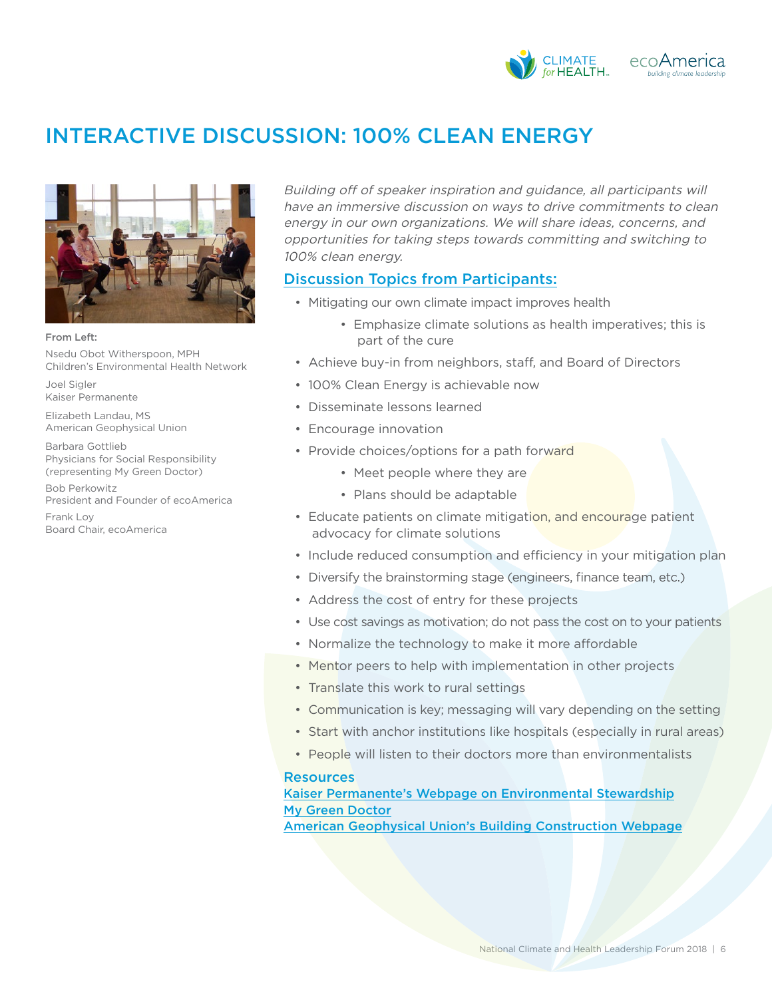

# INTERACTIVE DISCUSSION: 100% CLEAN ENERGY



From Left: Nsedu Obot Witherspoon, MPH Children's Environmental Health Network

Joel Sigler Kaiser Permanente

Elizabeth Landau, MS American Geophysical Union

Barbara Gottlieb Physicians for Social Responsibility (representing My Green Doctor)

Bob Perkowitz President and Founder of ecoAmerica

Frank Lov Board Chair, ecoAmerica Building off of speaker inspiration and guidance, all participants will have an immersive discussion on ways to drive commitments to clean energy in our own organizations. We will share ideas, concerns, and opportunities for taking steps towards committing and switching to 100% clean energy.

### Discussion Topics from Participants:

- Mitigating our own climate impact improves health
	- Emphasize climate solutions as health imperatives; this is part of the cure
- Achieve buy-in from neighbors, staff, and Board of Directors
- 100% Clean Energy is achievable now
- Disseminate lessons learned
- Encourage innovation
- Provide choices/options for a path forward
	- Meet people where they are
	- Plans should be adaptable
- Educate patients on climate mitigation, and encourage patient advocacy for climate solutions
- Include reduced consumption and efficiency in your mitigation plan
- Diversify the brainstorming stage (engineers, finance team, etc.)
- Address the cost of entry for these projects
- Use cost savings as motivation; do not pass the cost on to your patients
- Normalize the technology to make it more affordable
- Mentor peers to help with implementation in other projects
- Translate this work to rural settings
- Communication is key; messaging will vary depending on the setting
- Start with anchor institutions like hospitals (especially in rural areas)
- People will listen to their doctors more than environmentalists

#### **Resources**

[Kaiser Permanente's Webpage on Environmental Stewardship](https://share.kaiserpermanente.org/article/environmental-stewardship-climate-energy/) [My Green Doctor](https://www.mygreendoctor.org/)

[American Geophysical Union's Building Construction Webpage](https://building.agu.org/)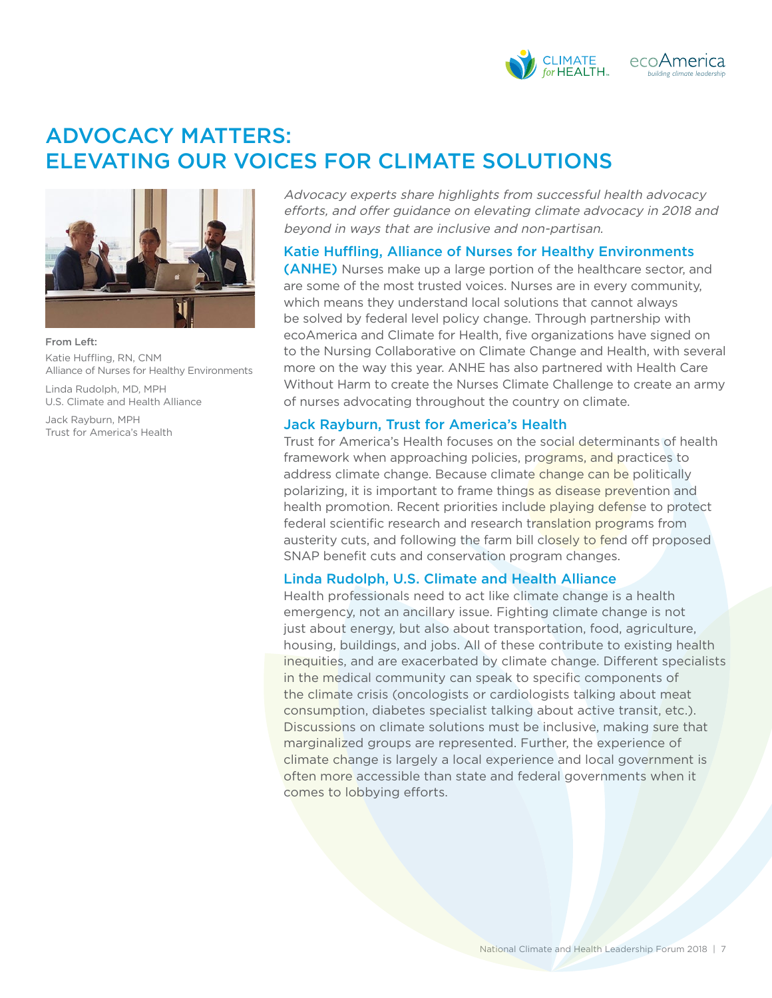

# ADVOCACY MATTERS: ELEVATING OUR VOICES FOR CLIMATE SOLUTIONS



From Left: Katie Huffling, RN, CNM Alliance of Nurses for Healthy Environments

Linda Rudolph, MD, MPH U.S. Climate and Health Alliance

Jack Rayburn, MPH Trust for America's Health Advocacy experts share highlights from successful health advocacy efforts, and offer guidance on elevating climate advocacy in 2018 and beyond in ways that are inclusive and non-partisan.

### Katie Huffling, Alliance of Nurses for Healthy Environments

(ANHE) Nurses make up a large portion of the healthcare sector, and are some of the most trusted voices. Nurses are in every community, which means they understand local solutions that cannot always be solved by federal level policy change. Through partnership with ecoAmerica and Climate for Health, five organizations have signed on to the Nursing Collaborative on Climate Change and Health, with several more on the way this year. ANHE has also partnered with Health Care Without Harm to create the Nurses Climate Challenge to create an army of nurses advocating throughout the country on climate.

### Jack Rayburn, Trust for America's Health

Trust for America's Health focuses on the social determinants of health framework when approaching policies, programs, and practices to address climate change. Because climate change can be politically polarizing, it is important to frame things as disease prevention and health promotion. Recent priorities include playing defense to protect federal scientific research and research translation programs from austerity cuts, and following the farm bill closely to fend off proposed SNAP benefit cuts and conservation program changes.

### Linda Rudolph, U.S. Climate and Health Alliance

Health professionals need to act like climate change is a health emergency, not an ancillary issue. Fighting climate change is not just about energy, but also about transportation, food, agriculture, housing, buildings, and jobs. All of these contribute to existing health inequities, and are exacerbated by climate change. Different specialists in the medical community can speak to specific components of the climate crisis (oncologists or cardiologists talking about meat consumption, diabetes specialist talking about active transit, etc.). Discussions on climate solutions must be inclusive, making sure that marginalized groups are represented. Further, the experience of climate change is largely a local experience and local government is often more accessible than state and federal governments when it comes to lobbying efforts.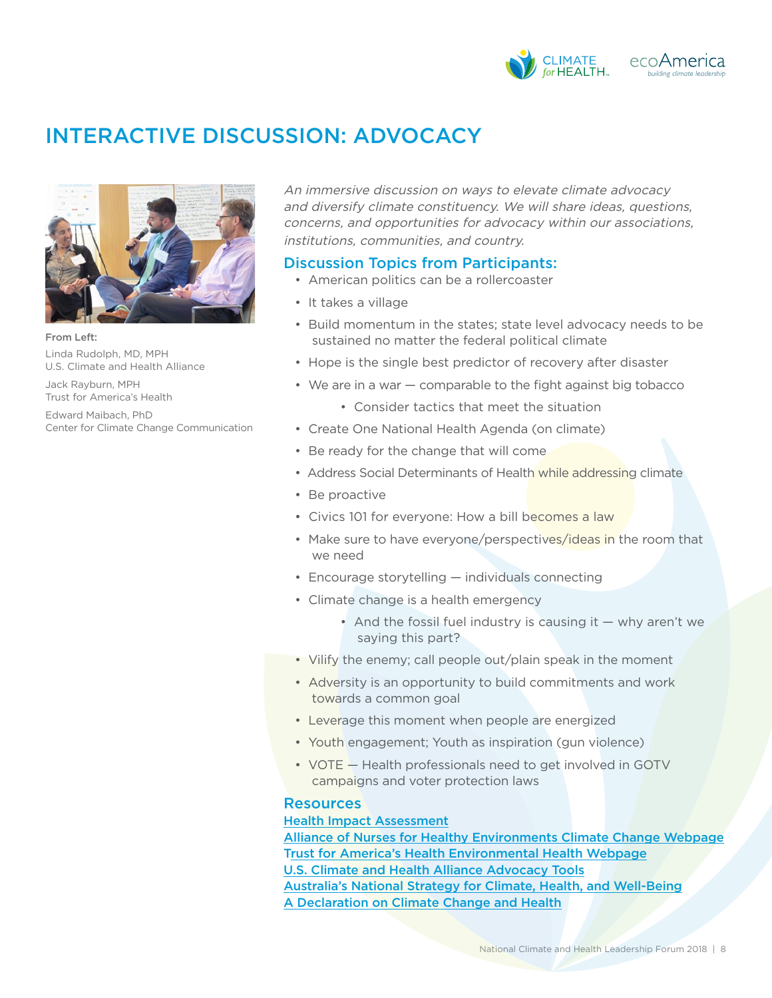

## INTERACTIVE DISCUSSION: ADVOCACY



From Left: Linda Rudolph, MD, MPH U.S. Climate and Health Alliance

Jack Rayburn, MPH Trust for America's Health

Edward Maibach, PhD Center for Climate Change Communication An immersive discussion on ways to elevate climate advocacy and diversify climate constituency. We will share ideas, questions, concerns, and opportunities for advocacy within our associations, institutions, communities, and country.

### Discussion Topics from Participants:

- American politics can be a rollercoaster
- It takes a village
- Build momentum in the states; state level advocacy needs to be sustained no matter the federal political climate
- Hope is the single best predictor of recovery after disaster
- We are in a war comparable to the fight against big tobacco
	- Consider tactics that meet the situation
- Create One National Health Agenda (on climate)
- Be ready for the change that will come
- Address Social Determinants of Health while addressing climate
- Be proactive
- Civics 101 for everyone: How a bill becomes a law
- Make sure to have everyone/perspectives/ideas in the room that we need
- Encourage storytelling individuals connecting
- Climate change is a health emergency
	- And the fossil fuel industry is causing it  $-$  why aren't we saying this part?
- Vilify the enemy; call people out/plain speak in the moment
- Adversity is an opportunity to build commitments and work towards a common goal
- Leverage this moment when people are energized
- Youth engagement; Youth as inspiration (gun violence)
- VOTE Health professionals need to get involved in GOTV campaigns and voter protection laws

### **Resources**

#### [Health Impact Assessment](https://www.cdc.gov/healthyplaces/hia.htm)

[Alliance of Nurses for Healthy Environments Climate Change Webpage](https://envirn.org/climate-change/) [Trust for America's Health Environmental Health Webpage](http://healthyamericans.org/environmental-health/) [U.S. Climate and Health Alliance Advocacy Tools](http://usclimateandhealthalliance.org/uscha-state-policy-initiative/advocacy-tools/) [Australia's National Strategy for Climate, Health, and Well-Being](http://www.caha.org.au/national-strategy-climate-health-wellbeing) [A Declaration on Climate Change and Health](http://www.lung.org/our-initiatives/healthy-air/outdoor/climate-change/a-declaration-on-climate-change-and-health.html)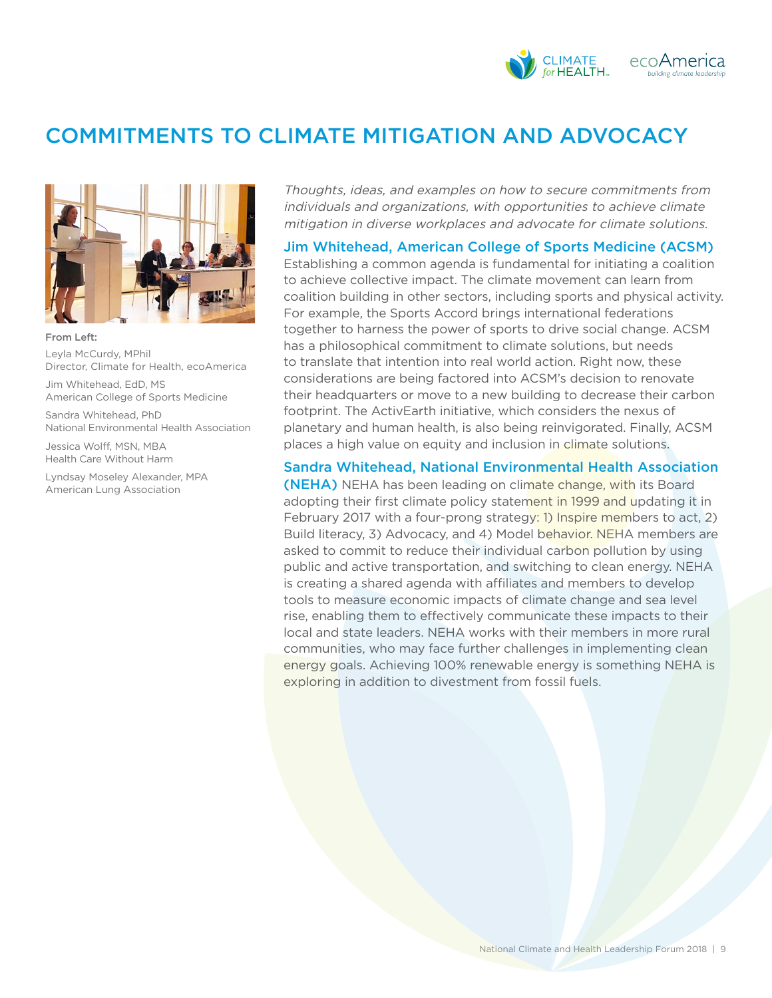#### **CLIMATE** ecoAmerica for HEALTH. *building climate leadership*

# COMMITMENTS TO CLIMATE MITIGATION AND ADVOCACY



From Left: Leyla McCurdy, MPhil Director, Climate for Health, ecoAmerica

Jim Whitehead, EdD, MS American College of Sports Medicine

Sandra Whitehead, PhD National Environmental Health Association

Jessica Wolff, MSN, MBA Health Care Without Harm

Lyndsay Moseley Alexander, MPA American Lung Association

Thoughts, ideas, and examples on how to secure commitments from individuals and organizations, with opportunities to achieve climate mitigation in diverse workplaces and advocate for climate solutions.

#### Jim Whitehead, American College of Sports Medicine (ACSM)

Establishing a common agenda is fundamental for initiating a coalition to achieve collective impact. The climate movement can learn from coalition building in other sectors, including sports and physical activity. For example, the Sports Accord brings international federations together to harness the power of sports to drive social change. ACSM has a philosophical commitment to climate solutions, but needs to translate that intention into real world action. Right now, these considerations are being factored into ACSM's decision to renovate their headquarters or move to a new building to decrease their carbon footprint. The ActivEarth initiative, which considers the nexus of planetary and human health, is also being reinvigorated. Finally, ACSM places a high value on equity and inclusion in climate solutions.

#### Sandra Whitehead, National Environmental Health Association

(NEHA) NEHA has been leading on climate change, with its Board adopting their first climate policy statement in 1999 and updating it in February 2017 with a four-prong strategy: 1) Inspire members to act, 2) Build literacy, 3) Advocacy, and 4) Model behavior. NEHA members are asked to commit to reduce their individual carbon pollution by using public and active transportation, and switching to clean energy. NEHA is creating a shared agenda with affiliates and members to develop tools to measure economic impacts of climate change and sea level rise, enabling them to effectively communicate these impacts to their local and state leaders. NEHA works with their members in more rural communities, who may face further challenges in implementing clean energy goals. Achieving 100% renewable energy is something NEHA is exploring in addition to divestment from fossil fuels.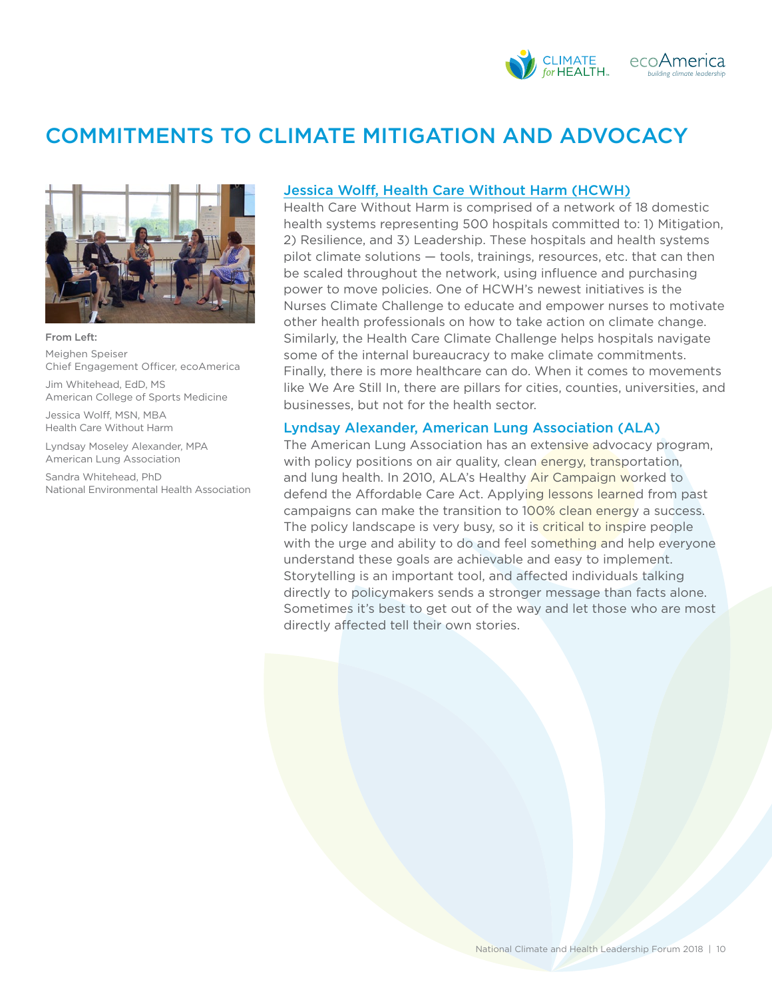

# COMMITMENTS TO CLIMATE MITIGATION AND ADVOCACY



From Left: Meighen Speiser Chief Engagement Officer, ecoAmerica

Jim Whitehead, EdD, MS American College of Sports Medicine

Jessica Wolff, MSN, MBA Health Care Without Harm

Lyndsay Moseley Alexander, MPA American Lung Association

Sandra Whitehead, PhD National Environmental Health Association

#### [Jessica Wolff, Health Care Without Harm \(HCWH\)](http://ecoamerica.org/wp-content/uploads/2018/06/wolff-health-forum-2018.pdf)

Health Care Without Harm is comprised of a network of 18 domestic health systems representing 500 hospitals committed to: 1) Mitigation, 2) Resilience, and 3) Leadership. These hospitals and health systems pilot climate solutions — tools, trainings, resources, etc. that can then be scaled throughout the network, using influence and purchasing power to move policies. One of HCWH's newest initiatives is the Nurses Climate Challenge to educate and empower nurses to motivate other health professionals on how to take action on climate change. Similarly, the Health Care Climate Challenge helps hospitals navigate some of the internal bureaucracy to make climate commitments. Finally, there is more healthcare can do. When it comes to movements like We Are Still In, there are pillars for cities, counties, universities, and businesses, but not for the health sector.

#### Lyndsay Alexander, American Lung Association (ALA)

The American Lung Association has an extensive advocacy program, with policy positions on air quality, clean energy, transportation, and lung health. In 2010, ALA's Healthy Air Campaign worked to defend the Affordable Care Act. Applying lessons learned from past campaigns can make the transition to 100% clean energy a success. The policy landscape is very busy, so it is critical to inspire people with the urge and ability to do and feel something and help everyone understand these goals are achievable and easy to implement. Storytelling is an important tool, and affected individuals talking directly to policymakers sends a stronger message than facts alone. Sometimes it's best to get out of the way and let those who are most directly affected tell their own stories.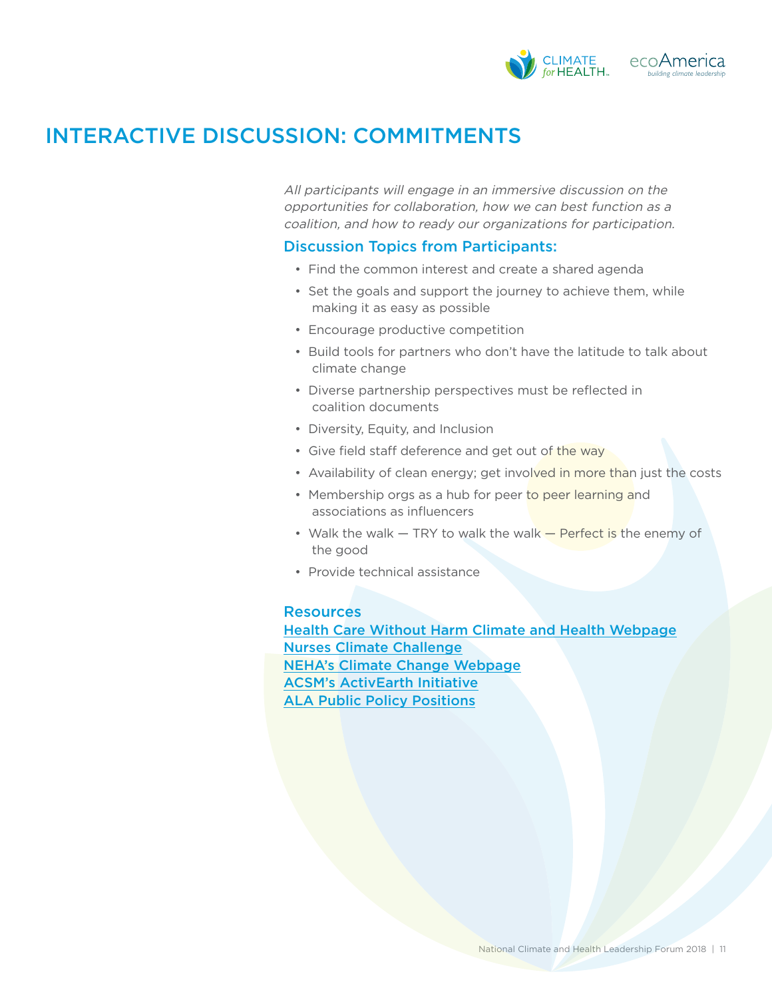

## INTERACTIVE DISCUSSION: COMMITMENTS

All participants will engage in an immersive discussion on the opportunities for collaboration, how we can best function as a coalition, and how to ready our organizations for participation.

### Discussion Topics from Participants:

- Find the common interest and create a shared agenda
- Set the goals and support the journey to achieve them, while making it as easy as possible
- Encourage productive competition
- Build tools for partners who don't have the latitude to talk about climate change
- Diverse partnership perspectives must be reflected in coalition documents
- Diversity, Equity, and Inclusion
- Give field staff deference and get out of the way
- Availability of clean energy; get involved in more than just the costs
- Membership orgs as a hub for peer to peer learning and associations as influencers
- Walk the walk TRY to walk the walk Perfect is the enemy of the good
- Provide technical assistance

### Resources

[Health Care Without Harm Climate and Health Webpage](https://noharm-uscanada.org/issues/us-canada/climate-and-health) [Nurses Climate Challenge](https://nursesclimatechallenge.org/) [NEHA's Climate Change Webpage](http://www.neha.org/eh-topics/climate-change-0) [ACSM's ActivEarth Initiative](https://www.acsm.org/acsm-membership/strategic-initiatives/activearth-(active-transportation)) [ALA Public Policy Positions](http://www.lung.org/get-involved/become-an-advocate/public-policy-positions.html)